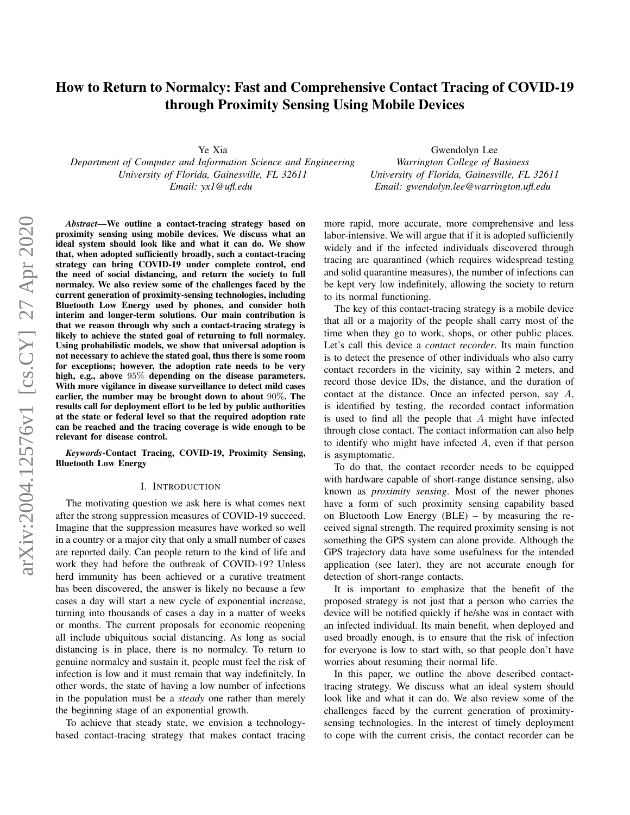# How to Return to Normalcy: Fast and Comprehensive Contact Tracing of COVID-19 through Proximity Sensing Using Mobile Devices

Ye Xia

*Department of Computer and Information Science and Engineering University of Florida, Gainesville, FL 32611 Email: yx1@ufl.edu*

Gwendolyn Lee *Warrington College of Business University of Florida, Gainesville, FL 32611 Email: gwendolyn.lee@warrington.ufl.edu*

*Abstract*—We outline a contact-tracing strategy based on proximity sensing using mobile devices. We discuss what an ideal system should look like and what it can do. We show that, when adopted sufficiently broadly, such a contact-tracing strategy can bring COVID-19 under complete control, end the need of social distancing, and return the society to full normalcy. We also review some of the challenges faced by the current generation of proximity-sensing technologies, including Bluetooth Low Energy used by phones, and consider both interim and longer-term solutions. Our main contribution is that we reason through why such a contact-tracing strategy is likely to achieve the stated goal of returning to full normalcy. Using probabilistic models, we show that universal adoption is not necessary to achieve the stated goal, thus there is some room for exceptions; however, the adoption rate needs to be very high, e.g., above 95% depending on the disease parameters. With more vigilance in disease surveillance to detect mild cases earlier, the number may be brought down to about 90%. The results call for deployment effort to be led by public authorities at the state or federal level so that the required adoption rate can be reached and the tracing coverage is wide enough to be relevant for disease control.

*Keywords*-Contact Tracing, COVID-19, Proximity Sensing, Bluetooth Low Energy

#### I. INTRODUCTION

The motivating question we ask here is what comes next after the strong suppression measures of COVID-19 succeed. Imagine that the suppression measures have worked so well in a country or a major city that only a small number of cases are reported daily. Can people return to the kind of life and work they had before the outbreak of COVID-19? Unless herd immunity has been achieved or a curative treatment has been discovered, the answer is likely no because a few cases a day will start a new cycle of exponential increase, turning into thousands of cases a day in a matter of weeks or months. The current proposals for economic reopening all include ubiquitous social distancing. As long as social distancing is in place, there is no normalcy. To return to genuine normalcy and sustain it, people must feel the risk of infection is low and it must remain that way indefinitely. In other words, the state of having a low number of infections in the population must be a *steady* one rather than merely the beginning stage of an exponential growth.

To achieve that steady state, we envision a technologybased contact-tracing strategy that makes contact tracing more rapid, more accurate, more comprehensive and less labor-intensive. We will argue that if it is adopted sufficiently widely and if the infected individuals discovered through tracing are quarantined (which requires widespread testing and solid quarantine measures), the number of infections can be kept very low indefinitely, allowing the society to return to its normal functioning.

The key of this contact-tracing strategy is a mobile device that all or a majority of the people shall carry most of the time when they go to work, shops, or other public places. Let's call this device a *contact recorder*. Its main function is to detect the presence of other individuals who also carry contact recorders in the vicinity, say within 2 meters, and record those device IDs, the distance, and the duration of contact at the distance. Once an infected person, say A, is identified by testing, the recorded contact information is used to find all the people that  $A$  might have infected through close contact. The contact information can also help to identify who might have infected A, even if that person is asymptomatic.

To do that, the contact recorder needs to be equipped with hardware capable of short-range distance sensing, also known as *proximity sensing*. Most of the newer phones have a form of such proximity sensing capability based on Bluetooth Low Energy (BLE) – by measuring the received signal strength. The required proximity sensing is not something the GPS system can alone provide. Although the GPS trajectory data have some usefulness for the intended application (see later), they are not accurate enough for detection of short-range contacts.

It is important to emphasize that the benefit of the proposed strategy is not just that a person who carries the device will be notified quickly if he/she was in contact with an infected individual. Its main benefit, when deployed and used broadly enough, is to ensure that the risk of infection for everyone is low to start with, so that people don't have worries about resuming their normal life.

In this paper, we outline the above described contacttracing strategy. We discuss what an ideal system should look like and what it can do. We also review some of the challenges faced by the current generation of proximitysensing technologies. In the interest of timely deployment to cope with the current crisis, the contact recorder can be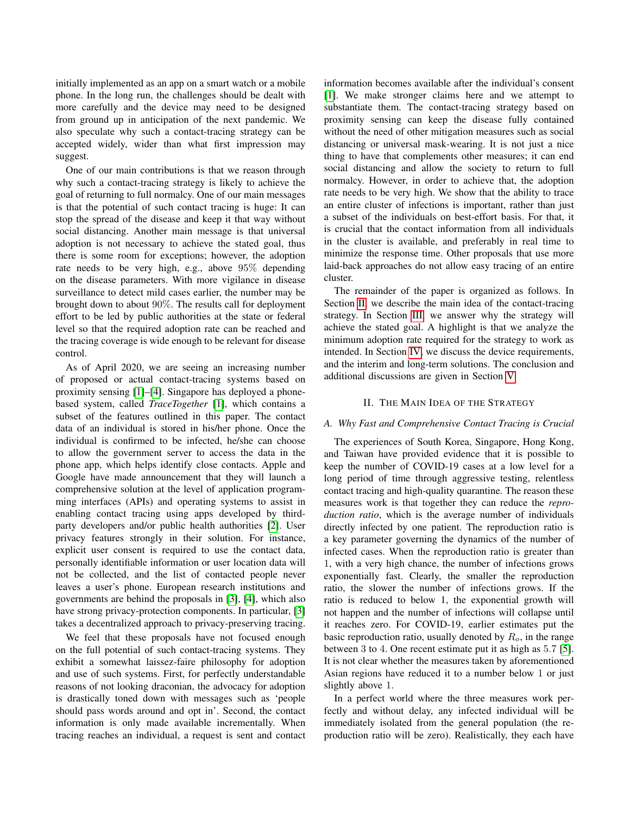initially implemented as an app on a smart watch or a mobile phone. In the long run, the challenges should be dealt with more carefully and the device may need to be designed from ground up in anticipation of the next pandemic. We also speculate why such a contact-tracing strategy can be accepted widely, wider than what first impression may suggest.

One of our main contributions is that we reason through why such a contact-tracing strategy is likely to achieve the goal of returning to full normalcy. One of our main messages is that the potential of such contact tracing is huge: It can stop the spread of the disease and keep it that way without social distancing. Another main message is that universal adoption is not necessary to achieve the stated goal, thus there is some room for exceptions; however, the adoption rate needs to be very high, e.g., above 95% depending on the disease parameters. With more vigilance in disease surveillance to detect mild cases earlier, the number may be brought down to about 90%. The results call for deployment effort to be led by public authorities at the state or federal level so that the required adoption rate can be reached and the tracing coverage is wide enough to be relevant for disease control.

As of April 2020, we are seeing an increasing number of proposed or actual contact-tracing systems based on proximity sensing [\[1\]](#page-11-0)–[\[4\]](#page-11-1). Singapore has deployed a phonebased system, called *TraceTogether* [\[1\]](#page-11-0), which contains a subset of the features outlined in this paper. The contact data of an individual is stored in his/her phone. Once the individual is confirmed to be infected, he/she can choose to allow the government server to access the data in the phone app, which helps identify close contacts. Apple and Google have made announcement that they will launch a comprehensive solution at the level of application programming interfaces (APIs) and operating systems to assist in enabling contact tracing using apps developed by thirdparty developers and/or public health authorities [\[2\]](#page-11-2). User privacy features strongly in their solution. For instance, explicit user consent is required to use the contact data, personally identifiable information or user location data will not be collected, and the list of contacted people never leaves a user's phone. European research institutions and governments are behind the proposals in [\[3\]](#page-11-3), [\[4\]](#page-11-1), which also have strong privacy-protection components. In particular, [\[3\]](#page-11-3) takes a decentralized approach to privacy-preserving tracing.

We feel that these proposals have not focused enough on the full potential of such contact-tracing systems. They exhibit a somewhat laissez-faire philosophy for adoption and use of such systems. First, for perfectly understandable reasons of not looking draconian, the advocacy for adoption is drastically toned down with messages such as 'people should pass words around and opt in'. Second, the contact information is only made available incrementally. When tracing reaches an individual, a request is sent and contact information becomes available after the individual's consent [\[1\]](#page-11-0). We make stronger claims here and we attempt to substantiate them. The contact-tracing strategy based on proximity sensing can keep the disease fully contained without the need of other mitigation measures such as social distancing or universal mask-wearing. It is not just a nice thing to have that complements other measures; it can end social distancing and allow the society to return to full normalcy. However, in order to achieve that, the adoption rate needs to be very high. We show that the ability to trace an entire cluster of infections is important, rather than just a subset of the individuals on best-effort basis. For that, it is crucial that the contact information from all individuals in the cluster is available, and preferably in real time to minimize the response time. Other proposals that use more laid-back approaches do not allow easy tracing of an entire cluster.

The remainder of the paper is organized as follows. In Section [II,](#page-1-0) we describe the main idea of the contact-tracing strategy. In Section [III,](#page-3-0) we answer why the strategy will achieve the stated goal. A highlight is that we analyze the minimum adoption rate required for the strategy to work as intended. In Section [IV,](#page-8-0) we discuss the device requirements, and the interim and long-term solutions. The conclusion and additional discussions are given in Section [V.](#page-10-0)

# II. THE MAIN IDEA OF THE STRATEGY

### <span id="page-1-0"></span>*A. Why Fast and Comprehensive Contact Tracing is Crucial*

The experiences of South Korea, Singapore, Hong Kong, and Taiwan have provided evidence that it is possible to keep the number of COVID-19 cases at a low level for a long period of time through aggressive testing, relentless contact tracing and high-quality quarantine. The reason these measures work is that together they can reduce the *reproduction ratio*, which is the average number of individuals directly infected by one patient. The reproduction ratio is a key parameter governing the dynamics of the number of infected cases. When the reproduction ratio is greater than 1, with a very high chance, the number of infections grows exponentially fast. Clearly, the smaller the reproduction ratio, the slower the number of infections grows. If the ratio is reduced to below 1, the exponential growth will not happen and the number of infections will collapse until it reaches zero. For COVID-19, earlier estimates put the basic reproduction ratio, usually denoted by  $R<sub>o</sub>$ , in the range between 3 to 4. One recent estimate put it as high as 5.7 [\[5\]](#page-11-4). It is not clear whether the measures taken by aforementioned Asian regions have reduced it to a number below 1 or just slightly above 1.

In a perfect world where the three measures work perfectly and without delay, any infected individual will be immediately isolated from the general population (the reproduction ratio will be zero). Realistically, they each have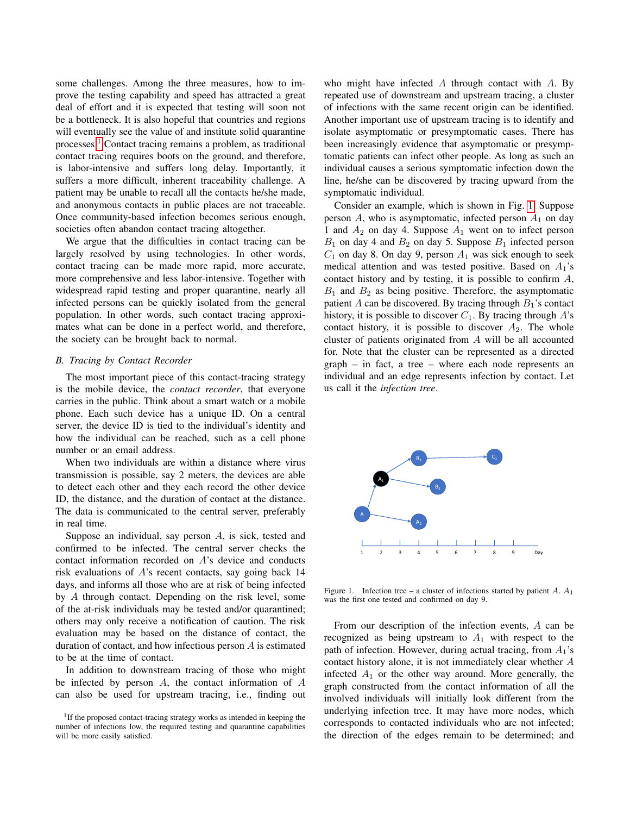some challenges. Among the three measures, how to improve the testing capability and speed has attracted a great deal of effort and it is expected that testing will soon not be a bottleneck. It is also hopeful that countries and regions will eventually see the value of and institute solid quarantine processes.[1](#page-2-0) Contact tracing remains a problem, as traditional contact tracing requires boots on the ground, and therefore, is labor-intensive and suffers long delay. Importantly, it suffers a more difficult, inherent traceability challenge. A patient may be unable to recall all the contacts he/she made, and anonymous contacts in public places are not traceable. Once community-based infection becomes serious enough, societies often abandon contact tracing altogether.

We argue that the difficulties in contact tracing can be largely resolved by using technologies. In other words, contact tracing can be made more rapid, more accurate, more comprehensive and less labor-intensive. Together with widespread rapid testing and proper quarantine, nearly all infected persons can be quickly isolated from the general population. In other words, such contact tracing approximates what can be done in a perfect world, and therefore, the society can be brought back to normal.

### *B. Tracing by Contact Recorder*

The most important piece of this contact-tracing strategy is the mobile device, the *contact recorder*, that everyone carries in the public. Think about a smart watch or a mobile phone. Each such device has a unique ID. On a central server, the device ID is tied to the individual's identity and how the individual can be reached, such as a cell phone number or an email address.

When two individuals are within a distance where virus transmission is possible, say 2 meters, the devices are able to detect each other and they each record the other device ID, the distance, and the duration of contact at the distance. The data is communicated to the central server, preferably in real time.

Suppose an individual, say person A, is sick, tested and confirmed to be infected. The central server checks the contact information recorded on A's device and conducts risk evaluations of A's recent contacts, say going back 14 days, and informs all those who are at risk of being infected by A through contact. Depending on the risk level, some of the at-risk individuals may be tested and/or quarantined; others may only receive a notification of caution. The risk evaluation may be based on the distance of contact, the duration of contact, and how infectious person A is estimated to be at the time of contact.

In addition to downstream tracing of those who might be infected by person  $A$ , the contact information of  $A$ can also be used for upstream tracing, i.e., finding out who might have infected  $A$  through contact with  $A$ . By repeated use of downstream and upstream tracing, a cluster of infections with the same recent origin can be identified. Another important use of upstream tracing is to identify and isolate asymptomatic or presymptomatic cases. There has been increasingly evidence that asymptomatic or presymptomatic patients can infect other people. As long as such an individual causes a serious symptomatic infection down the line, he/she can be discovered by tracing upward from the symptomatic individual.

Consider an example, which is shown in Fig. [1.](#page-2-1) Suppose person  $A$ , who is asymptomatic, infected person  $A_1$  on day 1 and  $A_2$  on day 4. Suppose  $A_1$  went on to infect person  $B_1$  on day 4 and  $B_2$  on day 5. Suppose  $B_1$  infected person  $C_1$  on day 8. On day 9, person  $A_1$  was sick enough to seek medical attention and was tested positive. Based on  $A_1$ 's contact history and by testing, it is possible to confirm A,  $B_1$  and  $B_2$  as being positive. Therefore, the asymptomatic patient A can be discovered. By tracing through  $B_1$ 's contact history, it is possible to discover  $C_1$ . By tracing through  $A$ 's contact history, it is possible to discover  $A_2$ . The whole cluster of patients originated from A will be all accounted for. Note that the cluster can be represented as a directed graph – in fact, a tree – where each node represents an individual and an edge represents infection by contact. Let us call it the *infection tree*.



<span id="page-2-1"></span>Figure 1. Infection tree – a cluster of infections started by patient A.  $A_1$ was the first one tested and confirmed on day 9.

From our description of the infection events, A can be recognized as being upstream to  $A_1$  with respect to the path of infection. However, during actual tracing, from  $A_1$ 's contact history alone, it is not immediately clear whether A infected  $A_1$  or the other way around. More generally, the graph constructed from the contact information of all the involved individuals will initially look different from the underlying infection tree. It may have more nodes, which corresponds to contacted individuals who are not infected; the direction of the edges remain to be determined; and

<span id="page-2-0"></span><sup>&</sup>lt;sup>1</sup>If the proposed contact-tracing strategy works as intended in keeping the number of infections low, the required testing and quarantine capabilities will be more easily satisfied.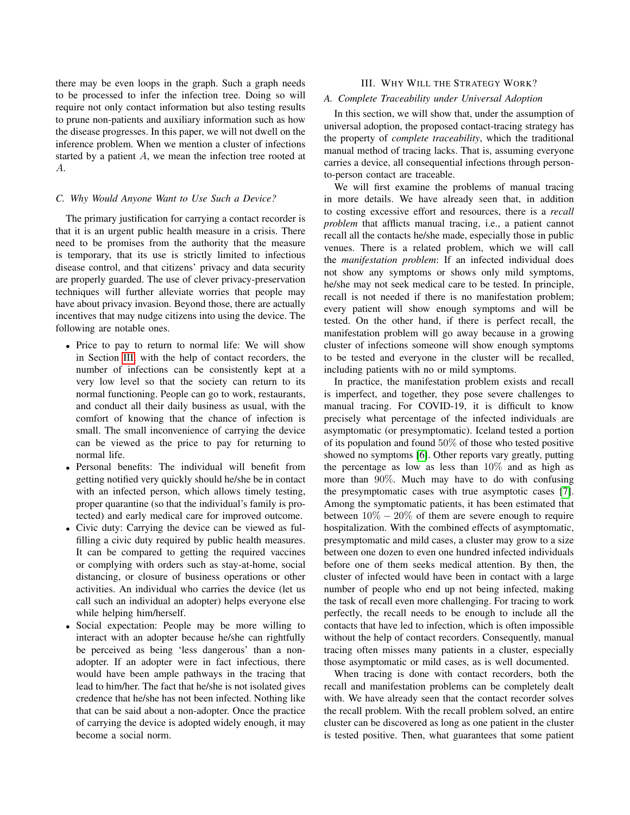there may be even loops in the graph. Such a graph needs to be processed to infer the infection tree. Doing so will require not only contact information but also testing results to prune non-patients and auxiliary information such as how the disease progresses. In this paper, we will not dwell on the inference problem. When we mention a cluster of infections started by a patient A, we mean the infection tree rooted at A.

### *C. Why Would Anyone Want to Use Such a Device?*

The primary justification for carrying a contact recorder is that it is an urgent public health measure in a crisis. There need to be promises from the authority that the measure is temporary, that its use is strictly limited to infectious disease control, and that citizens' privacy and data security are properly guarded. The use of clever privacy-preservation techniques will further alleviate worries that people may have about privacy invasion. Beyond those, there are actually incentives that may nudge citizens into using the device. The following are notable ones.

- Price to pay to return to normal life: We will show in Section [III,](#page-3-0) with the help of contact recorders, the number of infections can be consistently kept at a very low level so that the society can return to its normal functioning. People can go to work, restaurants, and conduct all their daily business as usual, with the comfort of knowing that the chance of infection is small. The small inconvenience of carrying the device can be viewed as the price to pay for returning to normal life.
- Personal benefits: The individual will benefit from getting notified very quickly should he/she be in contact with an infected person, which allows timely testing, proper quarantine (so that the individual's family is protected) and early medical care for improved outcome.
- Civic duty: Carrying the device can be viewed as fulfilling a civic duty required by public health measures. It can be compared to getting the required vaccines or complying with orders such as stay-at-home, social distancing, or closure of business operations or other activities. An individual who carries the device (let us call such an individual an adopter) helps everyone else while helping him/herself.
- Social expectation: People may be more willing to interact with an adopter because he/she can rightfully be perceived as being 'less dangerous' than a nonadopter. If an adopter were in fact infectious, there would have been ample pathways in the tracing that lead to him/her. The fact that he/she is not isolated gives credence that he/she has not been infected. Nothing like that can be said about a non-adopter. Once the practice of carrying the device is adopted widely enough, it may become a social norm.

# III. WHY WILL THE STRATEGY WORK?

# <span id="page-3-1"></span><span id="page-3-0"></span>*A. Complete Traceability under Universal Adoption*

In this section, we will show that, under the assumption of universal adoption, the proposed contact-tracing strategy has the property of *complete traceability*, which the traditional manual method of tracing lacks. That is, assuming everyone carries a device, all consequential infections through personto-person contact are traceable.

We will first examine the problems of manual tracing in more details. We have already seen that, in addition to costing excessive effort and resources, there is a *recall problem* that afflicts manual tracing, i.e., a patient cannot recall all the contacts he/she made, especially those in public venues. There is a related problem, which we will call the *manifestation problem*: If an infected individual does not show any symptoms or shows only mild symptoms, he/she may not seek medical care to be tested. In principle, recall is not needed if there is no manifestation problem; every patient will show enough symptoms and will be tested. On the other hand, if there is perfect recall, the manifestation problem will go away because in a growing cluster of infections someone will show enough symptoms to be tested and everyone in the cluster will be recalled, including patients with no or mild symptoms.

In practice, the manifestation problem exists and recall is imperfect, and together, they pose severe challenges to manual tracing. For COVID-19, it is difficult to know precisely what percentage of the infected individuals are asymptomatic (or presymptomatic). Iceland tested a portion of its population and found 50% of those who tested positive showed no symptoms [\[6\]](#page-11-5). Other reports vary greatly, putting the percentage as low as less than  $10\%$  and as high as more than 90%. Much may have to do with confusing the presymptomatic cases with true asymptotic cases [\[7\]](#page-11-6). Among the symptomatic patients, it has been estimated that between  $10\% - 20\%$  of them are severe enough to require hospitalization. With the combined effects of asymptomatic, presymptomatic and mild cases, a cluster may grow to a size between one dozen to even one hundred infected individuals before one of them seeks medical attention. By then, the cluster of infected would have been in contact with a large number of people who end up not being infected, making the task of recall even more challenging. For tracing to work perfectly, the recall needs to be enough to include all the contacts that have led to infection, which is often impossible without the help of contact recorders. Consequently, manual tracing often misses many patients in a cluster, especially those asymptomatic or mild cases, as is well documented.

When tracing is done with contact recorders, both the recall and manifestation problems can be completely dealt with. We have already seen that the contact recorder solves the recall problem. With the recall problem solved, an entire cluster can be discovered as long as one patient in the cluster is tested positive. Then, what guarantees that some patient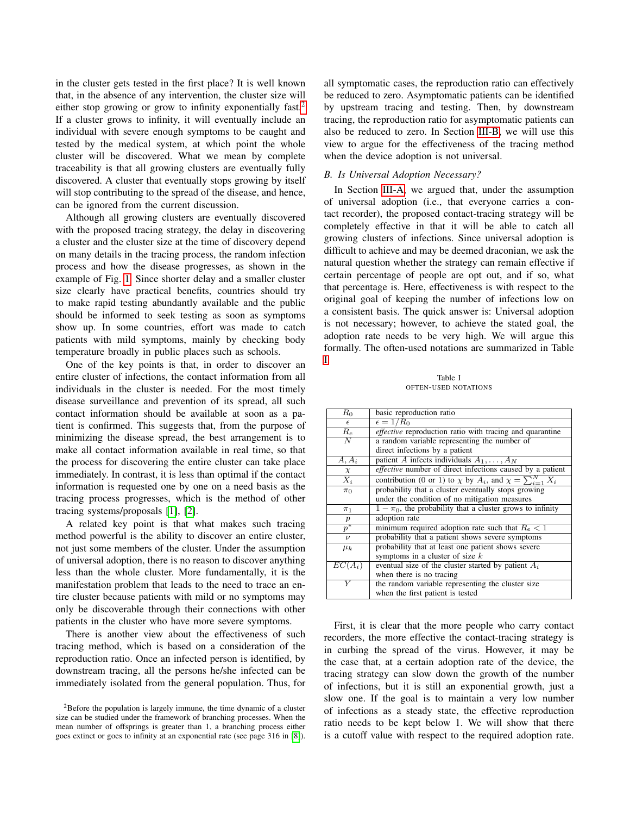in the cluster gets tested in the first place? It is well known that, in the absence of any intervention, the cluster size will either stop growing or grow to infinity exponentially fast.<sup>[2](#page-4-0)</sup> If a cluster grows to infinity, it will eventually include an individual with severe enough symptoms to be caught and tested by the medical system, at which point the whole cluster will be discovered. What we mean by complete traceability is that all growing clusters are eventually fully discovered. A cluster that eventually stops growing by itself will stop contributing to the spread of the disease, and hence, can be ignored from the current discussion.

Although all growing clusters are eventually discovered with the proposed tracing strategy, the delay in discovering a cluster and the cluster size at the time of discovery depend on many details in the tracing process, the random infection process and how the disease progresses, as shown in the example of Fig. [1.](#page-2-1) Since shorter delay and a smaller cluster size clearly have practical benefits, countries should try to make rapid testing abundantly available and the public should be informed to seek testing as soon as symptoms show up. In some countries, effort was made to catch patients with mild symptoms, mainly by checking body temperature broadly in public places such as schools.

One of the key points is that, in order to discover an entire cluster of infections, the contact information from all individuals in the cluster is needed. For the most timely disease surveillance and prevention of its spread, all such contact information should be available at soon as a patient is confirmed. This suggests that, from the purpose of minimizing the disease spread, the best arrangement is to make all contact information available in real time, so that the process for discovering the entire cluster can take place immediately. In contrast, it is less than optimal if the contact information is requested one by one on a need basis as the tracing process progresses, which is the method of other tracing systems/proposals [\[1\]](#page-11-0), [\[2\]](#page-11-2).

A related key point is that what makes such tracing method powerful is the ability to discover an entire cluster, not just some members of the cluster. Under the assumption of universal adoption, there is no reason to discover anything less than the whole cluster. More fundamentally, it is the manifestation problem that leads to the need to trace an entire cluster because patients with mild or no symptoms may only be discoverable through their connections with other patients in the cluster who have more severe symptoms.

There is another view about the effectiveness of such tracing method, which is based on a consideration of the reproduction ratio. Once an infected person is identified, by downstream tracing, all the persons he/she infected can be immediately isolated from the general population. Thus, for all symptomatic cases, the reproduction ratio can effectively be reduced to zero. Asymptomatic patients can be identified by upstream tracing and testing. Then, by downstream tracing, the reproduction ratio for asymptomatic patients can also be reduced to zero. In Section [III-B,](#page-4-1) we will use this view to argue for the effectiveness of the tracing method when the device adoption is not universal.

# <span id="page-4-1"></span>*B. Is Universal Adoption Necessary?*

In Section [III-A,](#page-3-1) we argued that, under the assumption of universal adoption (i.e., that everyone carries a contact recorder), the proposed contact-tracing strategy will be completely effective in that it will be able to catch all growing clusters of infections. Since universal adoption is difficult to achieve and may be deemed draconian, we ask the natural question whether the strategy can remain effective if certain percentage of people are opt out, and if so, what that percentage is. Here, effectiveness is with respect to the original goal of keeping the number of infections low on a consistent basis. The quick answer is: Universal adoption is not necessary; however, to achieve the stated goal, the adoption rate needs to be very high. We will argue this formally. The often-used notations are summarized in Table [I.](#page-4-2)

Table I OFTEN-USED NOTATIONS

<span id="page-4-2"></span>

First, it is clear that the more people who carry contact recorders, the more effective the contact-tracing strategy is in curbing the spread of the virus. However, it may be the case that, at a certain adoption rate of the device, the tracing strategy can slow down the growth of the number of infections, but it is still an exponential growth, just a slow one. If the goal is to maintain a very low number of infections as a steady state, the effective reproduction ratio needs to be kept below 1. We will show that there is a cutoff value with respect to the required adoption rate.

<span id="page-4-0"></span><sup>&</sup>lt;sup>2</sup>Before the population is largely immune, the time dynamic of a cluster size can be studied under the framework of branching processes. When the mean number of offsprings is greater than 1, a branching process either goes extinct or goes to infinity at an exponential rate (see page 316 in [\[8\]](#page-11-7)).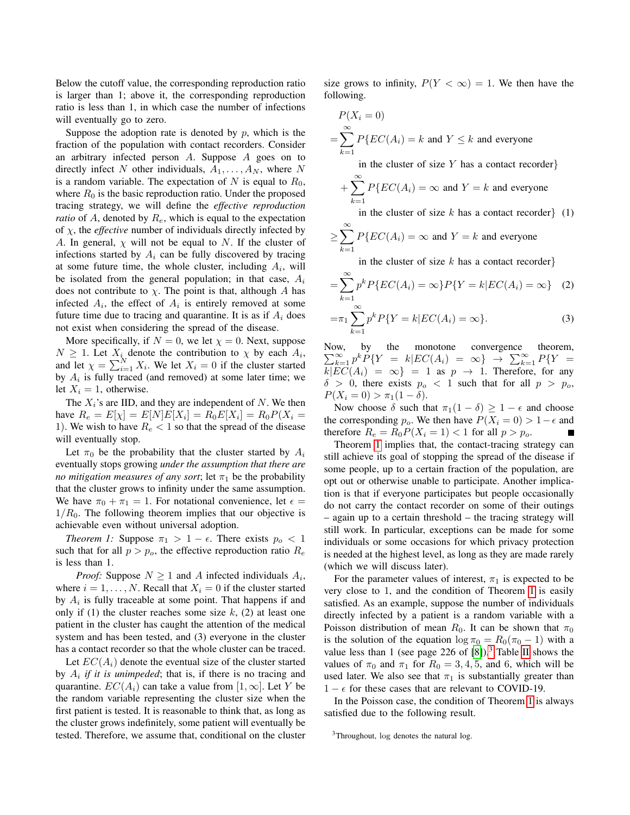Below the cutoff value, the corresponding reproduction ratio is larger than 1; above it, the corresponding reproduction ratio is less than 1, in which case the number of infections will eventually go to zero.

Suppose the adoption rate is denoted by  $p$ , which is the fraction of the population with contact recorders. Consider an arbitrary infected person  $A$ . Suppose  $A$  goes on to directly infect N other individuals,  $A_1, \ldots, A_N$ , where N is a random variable. The expectation of  $N$  is equal to  $R_0$ , where  $R_0$  is the basic reproduction ratio. Under the proposed tracing strategy, we will define the *effective reproduction ratio* of  $A$ , denoted by  $R_e$ , which is equal to the expectation of  $\chi$ , the *effective* number of individuals directly infected by A. In general,  $\chi$  will not be equal to N. If the cluster of infections started by  $A_i$  can be fully discovered by tracing at some future time, the whole cluster, including  $A_i$ , will be isolated from the general population; in that case,  $A_i$ does not contribute to  $\chi$ . The point is that, although A has infected  $A_i$ , the effect of  $A_i$  is entirely removed at some future time due to tracing and quarantine. It is as if  $A_i$  does not exist when considering the spread of the disease.

More specifically, if  $N = 0$ , we let  $\chi = 0$ . Next, suppose  $N \geq 1$ . Let  $X_i$  denote the contribution to  $\chi$  by each  $A_i$ , and let  $\chi = \sum_{i=1}^{N} X_i$ . We let  $X_i = 0$  if the cluster started by  $A_i$  is fully traced (and removed) at some later time; we let  $X_i = 1$ , otherwise.

The  $X_i$ 's are IID, and they are independent of N. We then have  $R_e = E[\chi] = E[N]E[X_i] = R_0E[X_i] = R_0P(X_i =$ 1). We wish to have  $R_e < 1$  so that the spread of the disease will eventually stop.

Let  $\pi_0$  be the probability that the cluster started by  $A_i$ eventually stops growing *under the assumption that there are no mitigation measures of any sort*; let  $\pi_1$  be the probability that the cluster grows to infinity under the same assumption. We have  $\pi_0 + \pi_1 = 1$ . For notational convenience, let  $\epsilon =$  $1/R<sub>0</sub>$ . The following theorem implies that our objective is achievable even without universal adoption.

*Theorem 1:* Suppose  $\pi_1 > 1 - \epsilon$ . There exists  $p_o < 1$ such that for all  $p > p<sub>o</sub>$ , the effective reproduction ratio  $R<sub>e</sub>$ is less than 1.

*Proof:* Suppose  $N \geq 1$  and A infected individuals  $A_i$ , where  $i = 1, \ldots, N$ . Recall that  $X_i = 0$  if the cluster started by  $A_i$  is fully traceable at some point. That happens if and only if (1) the cluster reaches some size  $k$ , (2) at least one patient in the cluster has caught the attention of the medical system and has been tested, and (3) everyone in the cluster has a contact recorder so that the whole cluster can be traced.

Let  $EC(A_i)$  denote the eventual size of the cluster started by  $A_i$  *if it is unimpeded*; that is, if there is no tracing and quarantine.  $EC(A_i)$  can take a value from  $[1,\infty]$ . Let Y be the random variable representing the cluster size when the first patient is tested. It is reasonable to think that, as long as the cluster grows indefinitely, some patient will eventually be tested. Therefore, we assume that, conditional on the cluster size grows to infinity,  $P(Y < \infty) = 1$ . We then have the following.

$$
P(X_i = 0)
$$
  
=  $\sum_{k=1}^{\infty} P\{EC(A_i) = k \text{ and } Y \le k \text{ and everyone}$   
in the cluster of size Y has a contact recorder}  
+  $\sum_{k=1}^{\infty} P\{EC(A_i) = \infty \text{ and } Y = k \text{ and everyone}$   
in the cluster of size k has a contact recorder} (1)  
 $\ge \sum_{k=1}^{\infty} P\{EC(A_i) = \infty \text{ and } Y = k \text{ and everyone}$   
in the cluster of size k has a contact recorder}

<span id="page-5-2"></span>
$$
=\sum_{k=1}^{\infty} p^k P\{EC(A_i) = \infty\} P\{Y = k | EC(A_i) = \infty\} \quad (2)
$$

<span id="page-5-3"></span>
$$
=\pi_1 \sum_{k=1}^{\infty} p^k P\{Y = k | EC(A_i) = \infty\}.
$$
 (3)

Now, by the monotone convergence theorem,  $\sum_{k=1}^{\infty} p^k P\{Y = k | EC(A_i) = \infty\} \rightarrow \sum_{k=1}^{\infty} P\{Y =$  $k|EC(A_i) = \infty$  = 1 as  $p \to 1$ . Therefore, for any  $\delta > 0$ , there exists  $p_o < 1$  such that for all  $p > p_o$ ,  $P(X_i = 0) > \pi_1(1 - \delta).$ 

Now choose  $\delta$  such that  $\pi_1(1 - \delta) \geq 1 - \epsilon$  and choose the corresponding  $p_o$ . We then have  $P(X_i = 0) > 1 - \epsilon$  and therefore  $R_e = R_0 P(X_i = 1) < 1$  for all  $p > p_o$ .

Theorem [1](#page-5-0) implies that, the contact-tracing strategy can still achieve its goal of stopping the spread of the disease if some people, up to a certain fraction of the population, are opt out or otherwise unable to participate. Another implication is that if everyone participates but people occasionally do not carry the contact recorder on some of their outings – again up to a certain threshold – the tracing strategy will still work. In particular, exceptions can be made for some individuals or some occasions for which privacy protection is needed at the highest level, as long as they are made rarely (which we will discuss later).

<span id="page-5-0"></span>For the parameter values of interest,  $\pi_1$  is expected to be very close to 1, and the condition of Theorem [1](#page-5-0) is easily satisfied. As an example, suppose the number of individuals directly infected by a patient is a random variable with a Poisson distribution of mean  $R_0$ . It can be shown that  $\pi_0$ is the solution of the equation  $\log \pi_0 = R_0(\pi_0 - 1)$  with a value less than 1 (see page 226 of  $[8]$ ).<sup>[3](#page-5-1)</sup> Table [II](#page-6-0) shows the values of  $\pi_0$  and  $\pi_1$  for  $R_0 = 3, 4, 5$ , and 6, which will be used later. We also see that  $\pi_1$  is substantially greater than  $1 - \epsilon$  for these cases that are relevant to COVID-19.

In the Poisson case, the condition of Theorem [1](#page-5-0) is always satisfied due to the following result.

<span id="page-5-1"></span><sup>&</sup>lt;sup>3</sup>Throughout, log denotes the natural log.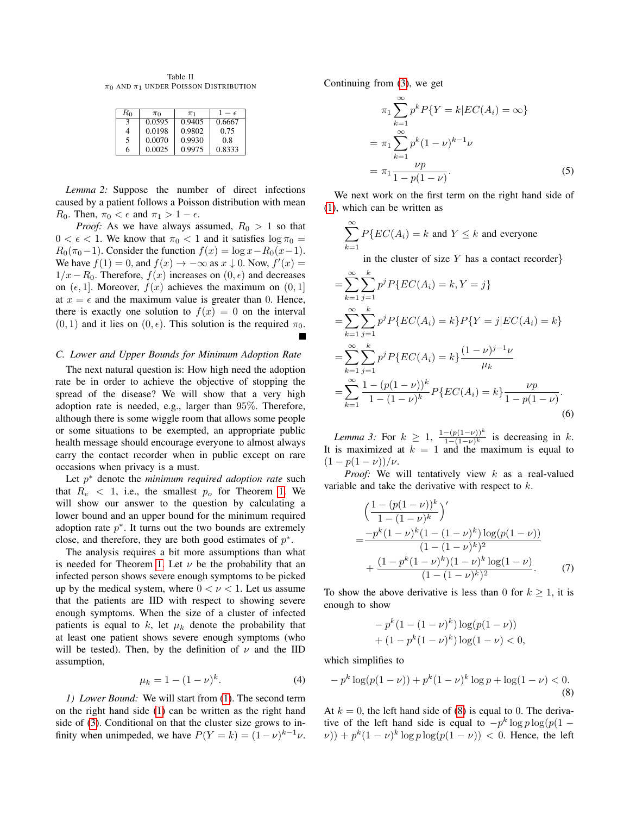<span id="page-6-0"></span>Table II  $\pi_0$  and  $\pi_1$  under Poisson Distribution

| $R_0$ | $\pi_0$ | $\pi_1$ | $\epsilon$ |
|-------|---------|---------|------------|
| 3     | 0.0595  | 0.9405  | 0.6667     |
|       | 0.0198  | 0.9802  | 0.75       |
| 5     | 0.0070  | 0.9930  | 0.8        |
| 6     | 0.0025  | 0.9975  | 0.8333     |

*Lemma 2:* Suppose the number of direct infections caused by a patient follows a Poisson distribution with mean  $R_0$ . Then,  $\pi_0 < \epsilon$  and  $\pi_1 > 1 - \epsilon$ .

*Proof:* As we have always assumed,  $R_0 > 1$  so that  $0 < \epsilon < 1$ . We know that  $\pi_0 < 1$  and it satisfies  $\log \pi_0 =$  $R_0(\pi_0-1)$ . Consider the function  $f(x) = \log x - R_0(x-1)$ . We have  $f(1) = 0$ , and  $f(x) \rightarrow -\infty$  as  $x \downarrow 0$ . Now,  $f'(x) =$  $1/x-R_0$ . Therefore,  $f(x)$  increases on  $(0, \epsilon)$  and decreases on  $(\epsilon, 1]$ . Moreover,  $f(x)$  achieves the maximum on  $(0, 1]$ at  $x = \epsilon$  and the maximum value is greater than 0. Hence, there is exactly one solution to  $f(x) = 0$  on the interval  $(0, 1)$  and it lies on  $(0, \epsilon)$ . This solution is the required  $\pi_0$ .

#### *C. Lower and Upper Bounds for Minimum Adoption Rate*

The next natural question is: How high need the adoption rate be in order to achieve the objective of stopping the spread of the disease? We will show that a very high adoption rate is needed, e.g., larger than 95%. Therefore, although there is some wiggle room that allows some people or some situations to be exempted, an appropriate public health message should encourage everyone to almost always carry the contact recorder when in public except on rare occasions when privacy is a must.

Let  $p^*$  denote the *minimum required adoption rate* such that  $R_e$  < 1, i.e., the smallest  $p_o$  for Theorem [1.](#page-5-0) We will show our answer to the question by calculating a lower bound and an upper bound for the minimum required adoption rate  $p^*$ . It turns out the two bounds are extremely close, and therefore, they are both good estimates of  $p^*$ .

The analysis requires a bit more assumptions than what is needed for Theorem [1.](#page-5-0) Let  $\nu$  be the probability that an infected person shows severe enough symptoms to be picked up by the medical system, where  $0 < \nu < 1$ . Let us assume that the patients are IID with respect to showing severe enough symptoms. When the size of a cluster of infected patients is equal to  $k$ , let  $\mu_k$  denote the probability that at least one patient shows severe enough symptoms (who will be tested). Then, by the definition of  $\nu$  and the IID assumption,

$$
\mu_k = 1 - (1 - \nu)^k. \tag{4}
$$

*1) Lower Bound:* We will start from [\(1\)](#page-5-2). The second term on the right hand side [\(1\)](#page-5-2) can be written as the right hand side of [\(3\)](#page-5-3). Conditional on that the cluster size grows to infinity when unimpeded, we have  $P(Y = k) = (1 - \nu)^{k-1} \nu$ .

Continuing from [\(3\)](#page-5-3), we get

<span id="page-6-4"></span>
$$
\pi_1 \sum_{k=1}^{\infty} p^k P\{Y = k | EC(A_i) = \infty\}
$$
  
= 
$$
\pi_1 \sum_{k=1}^{\infty} p^k (1 - \nu)^{k-1} \nu
$$
  
= 
$$
\pi_1 \frac{\nu p}{1 - p(1 - \nu)}.
$$
 (5)

We next work on the first term on the right hand side of [\(1\)](#page-5-2), which can be written as

$$
\sum_{k=1}^{\infty} P\{EC(A_i) = k \text{ and } Y \le k \text{ and everyone}
$$

in the cluster of size  $Y$  has a contact recorder

$$
= \sum_{k=1}^{\infty} \sum_{j=1}^{k} p^{j} P\{EC(A_{i}) = k, Y = j\}
$$
  
\n
$$
= \sum_{k=1}^{\infty} \sum_{j=1}^{k} p^{j} P\{EC(A_{i}) = k\} P\{Y = j|EC(A_{i}) = k\}
$$
  
\n
$$
= \sum_{k=1}^{\infty} \sum_{j=1}^{k} p^{j} P\{EC(A_{i}) = k\} \frac{(1 - \nu)^{j-1} \nu}{\mu_{k}}
$$
  
\n
$$
= \sum_{k=1}^{\infty} \frac{1 - (p(1 - \nu))^{k}}{1 - (1 - \nu)^{k}} P\{EC(A_{i}) = k\} \frac{\nu p}{1 - p(1 - \nu)}.
$$
  
\n(6)

<span id="page-6-2"></span>*Lemma 3:* For  $k \geq 1$ ,  $\frac{1-(p(1-\nu))^k}{1-(1-\nu)^k}$  $\frac{-(p(1-\nu))^n}{1-(1-\nu)^k}$  is decreasing in k. It is maximized at  $k = 1$  and the maximum is equal to  $(1 - p(1 - \nu))/\nu$ .

*Proof:* We will tentatively view k as a real-valued variable and take the derivative with respect to k.

<span id="page-6-3"></span>
$$
\begin{aligned}\n&\left(\frac{1-(p(1-\nu))^k}{1-(1-\nu)^k}\right)' \\
&= \frac{-p^k(1-\nu)^k(1-(1-\nu)^k)\log(p(1-\nu))}{(1-(1-\nu)^k)^2} \\
&+ \frac{(1-p^k(1-\nu)^k)(1-\nu)^k\log(1-\nu)}{(1-(1-\nu)^k)^2}.\n\end{aligned} \tag{7}
$$

To show the above derivative is less than 0 for  $k \geq 1$ , it is enough to show

<span id="page-6-1"></span>
$$
-p^{k}(1-(1-\nu)^{k})\log(p(1-\nu)) + (1-p^{k}(1-\nu)^{k})\log(1-\nu) < 0,
$$

which simplifies to

$$
-p^k \log(p(1-\nu)) + p^k (1-\nu)^k \log p + \log(1-\nu) < 0. \tag{8}
$$

At  $k = 0$ , the left hand side of [\(8\)](#page-6-1) is equal to 0. The derivative of the left hand side is equal to  $-p^k \log p \log (p(1 (v)$ ) +  $p^k(1-v)^k \log p \log (p(1-v)) < 0$ . Hence, the left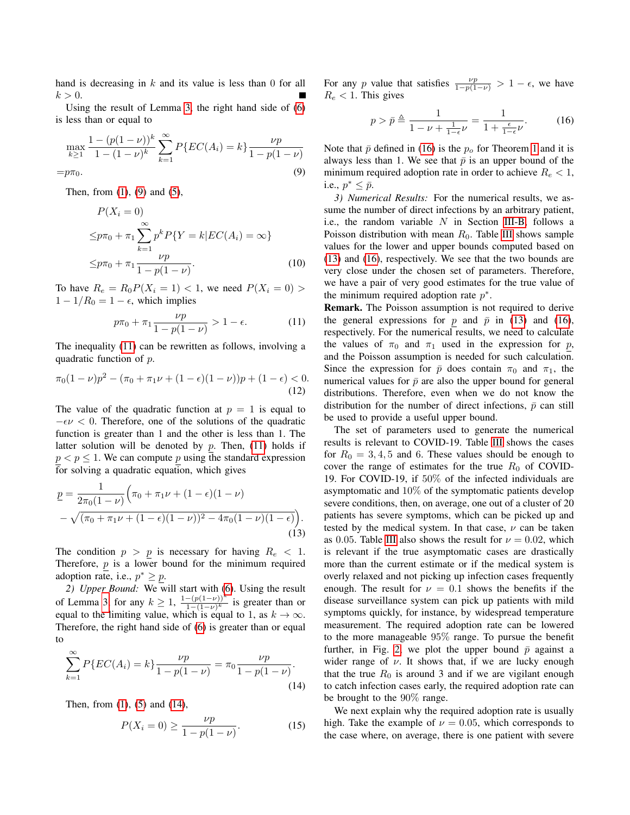hand is decreasing in  $k$  and its value is less than 0 for all  $k > 0$ .

Using the result of Lemma [3,](#page-6-2) the right hand side of [\(6\)](#page-6-3) is less than or equal to

$$
\max_{k\geq 1} \frac{1 - (p(1 - \nu))^k}{1 - (1 - \nu)^k} \sum_{k=1}^{\infty} P\{EC(A_i) = k\} \frac{\nu p}{1 - p(1 - \nu)}
$$
  
=  $p\pi_0$ . (9)

Then, from  $(1)$ ,  $(9)$  and  $(5)$ ,

$$
P(X_i = 0)
$$
  
\n
$$
\leq p\pi_0 + \pi_1 \sum_{k=1}^{\infty} p^k P\{Y = k | EC(A_i) = \infty\}
$$
  
\n
$$
\leq p\pi_0 + \pi_1 \frac{\nu p}{1 - p(1 - \nu)}.
$$
\n(10)

To have  $R_e = R_0 P(X_i = 1) < 1$ , we need  $P(X_i = 0) >$  $1 - 1/R_0 = 1 - \epsilon$ , which implies

$$
p\pi_0 + \pi_1 \frac{\nu p}{1 - p(1 - \nu)} > 1 - \epsilon.
$$
 (11)

The inequality [\(11\)](#page-7-1) can be rewritten as follows, involving a quadratic function of p.

$$
\pi_0(1-\nu)p^2 - (\pi_0 + \pi_1\nu + (1-\epsilon)(1-\nu))p + (1-\epsilon) < 0. \tag{12}
$$

The value of the quadratic function at  $p = 1$  is equal to  $-\epsilon\nu < 0$ . Therefore, one of the solutions of the quadratic function is greater than 1 and the other is less than 1. The latter solution will be denoted by  $p$ . Then, [\(11\)](#page-7-1) holds if  $p < p \leq 1$ . We can compute p using the standard expression for solving a quadratic equation, which gives

$$
\underline{p} = \frac{1}{2\pi_0(1-\nu)} \Big( \pi_0 + \pi_1 \nu + (1-\epsilon)(1-\nu) - \sqrt{(\pi_0 + \pi_1 \nu + (1-\epsilon)(1-\nu))^2 - 4\pi_0(1-\nu)(1-\epsilon)} \Big).
$$
\n(13)

The condition  $p > p$  is necessary for having  $R_e < 1$ . Therefore,  $\bar{p}$  is a lower bound for the minimum required adoption rate, i.e.,  $p^* \geq p$ .

*2) Upper Bound:* We will start with [\(6\)](#page-6-3). Using the result of Lemma [3,](#page-6-2) for any  $k \geq 1$ ,  $\frac{1-(p(1-\nu))^k}{1-(1-\nu)^k}$  $\frac{-(p(1-\nu))}{(1-(1-\nu)^k}$  is greater than or equal to the limiting value, which is equal to 1, as  $k \to \infty$ . Therefore, the right hand side of [\(6\)](#page-6-3) is greater than or equal to

$$
\sum_{k=1}^{\infty} P\{EC(A_i) = k\} \frac{\nu p}{1 - p(1 - \nu)} = \pi_0 \frac{\nu p}{1 - p(1 - \nu)}.
$$
\n(14)

Then, from [\(1\)](#page-5-2), [\(5\)](#page-6-4) and [\(14\)](#page-7-2),

$$
P(X_i = 0) \ge \frac{\nu p}{1 - p(1 - \nu)}.\tag{15}
$$

For any p value that satisfies  $\frac{\nu p}{1-p(1-\nu)} > 1 - \epsilon$ , we have  $R_e < 1$ . This gives

<span id="page-7-3"></span>
$$
p > \bar{p} \triangleq \frac{1}{1 - \nu + \frac{1}{1 - \epsilon}\nu} = \frac{1}{1 + \frac{\epsilon}{1 - \epsilon}\nu}.
$$
 (16)

<span id="page-7-0"></span>Note that  $\bar{p}$  defined in [\(16\)](#page-7-3) is the  $p<sub>o</sub>$  for Theorem [1](#page-5-0) and it is always less than 1. We see that  $\bar{p}$  is an upper bound of the minimum required adoption rate in order to achieve  $R_e < 1$ , i.e.,  $p^* \leq \bar{p}$ .

*3) Numerical Results:* For the numerical results, we assume the number of direct infections by an arbitrary patient, i.e., the random variable  $N$  in Section [III-B,](#page-4-1) follows a Poisson distribution with mean  $R_0$ . Table [III](#page-8-1) shows sample values for the lower and upper bounds computed based on [\(13\)](#page-7-4) and [\(16\)](#page-7-3), respectively. We see that the two bounds are very close under the chosen set of parameters. Therefore, we have a pair of very good estimates for the true value of the minimum required adoption rate  $p^*$ .

<span id="page-7-1"></span>Remark. The Poisson assumption is not required to derive the general expressions for p and  $\bar{p}$  in [\(13\)](#page-7-4) and [\(16\)](#page-7-3), respectively. For the numerical results, we need to calculate the values of  $\pi_0$  and  $\pi_1$  used in the expression for p, and the Poisson assumption is needed for such calculation. Since the expression for  $\bar{p}$  does contain  $\pi_0$  and  $\pi_1$ , the numerical values for  $\bar{p}$  are also the upper bound for general distributions. Therefore, even when we do not know the distribution for the number of direct infections,  $\bar{p}$  can still be used to provide a useful upper bound.

<span id="page-7-4"></span>The set of parameters used to generate the numerical results is relevant to COVID-19. Table [III](#page-8-1) shows the cases for  $R_0 = 3, 4, 5$  and 6. These values should be enough to cover the range of estimates for the true  $R_0$  of COVID-19. For COVID-19, if 50% of the infected individuals are asymptomatic and 10% of the symptomatic patients develop severe conditions, then, on average, one out of a cluster of 20 patients has severe symptoms, which can be picked up and tested by the medical system. In that case,  $\nu$  can be taken as 0.05. Table [III](#page-8-1) also shows the result for  $\nu = 0.02$ , which is relevant if the true asymptomatic cases are drastically more than the current estimate or if the medical system is overly relaxed and not picking up infection cases frequently enough. The result for  $\nu = 0.1$  shows the benefits if the disease surveillance system can pick up patients with mild symptoms quickly, for instance, by widespread temperature measurement. The required adoption rate can be lowered to the more manageable 95% range. To pursue the benefit further, in Fig. [2,](#page-8-2) we plot the upper bound  $\bar{p}$  against a wider range of  $\nu$ . It shows that, if we are lucky enough that the true  $R_0$  is around 3 and if we are vigilant enough to catch infection cases early, the required adoption rate can be brought to the 90% range.

<span id="page-7-2"></span>We next explain why the required adoption rate is usually high. Take the example of  $\nu = 0.05$ , which corresponds to the case where, on average, there is one patient with severe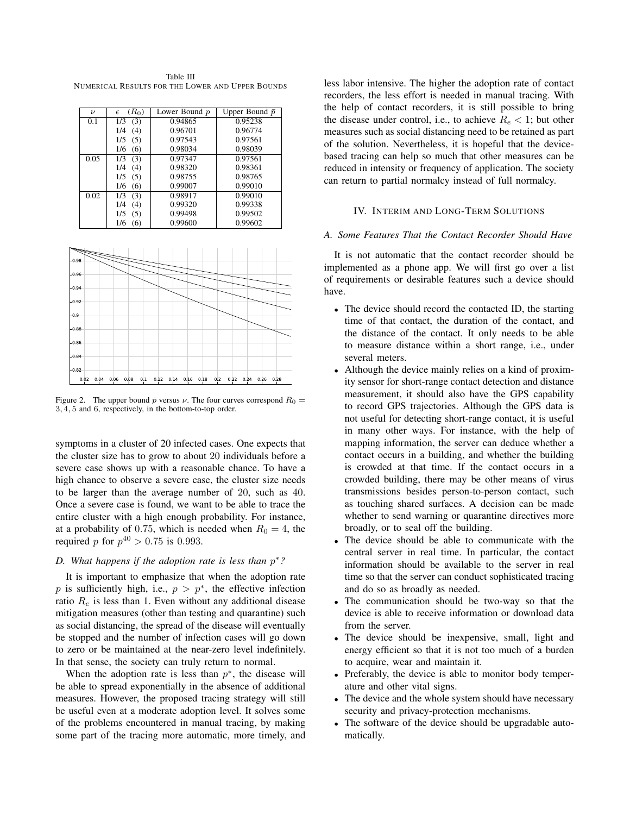<span id="page-8-1"></span>Table III NUMERICAL RESULTS FOR THE LOWER AND UPPER BOUNDS

| $\boldsymbol{\nu}$ | $(R_0)$<br>$\epsilon$ | Lower Bound p | Upper Bound $\bar{p}$ |
|--------------------|-----------------------|---------------|-----------------------|
| 0.1                | 1/3<br>(3)            | 0.94865       | 0.95238               |
|                    | 1/4<br>(4)            | 0.96701       | 0.96774               |
|                    | 1/5<br>(5)            | 0.97543       | 0.97561               |
|                    | 1/6<br>(6)            | 0.98034       | 0.98039               |
| 0.05               | 1/3<br>(3)            | 0.97347       | 0.97561               |
|                    | 1/4<br>(4)            | 0.98320       | 0.98361               |
|                    | 1/5<br>(5)            | 0.98755       | 0.98765               |
|                    | 1/6<br>(6)            | 0.99007       | 0.99010               |
| 0.02               | 1/3<br>(3)            | 0.98917       | 0.99010               |
|                    | 1/4<br>(4)            | 0.99320       | 0.99338               |
|                    | 1/5<br>(5)            | 0.99498       | 0.99502               |
|                    | 1/6<br>(6)            | 0.99600       | 0.99602               |



<span id="page-8-2"></span>Figure 2. The upper bound  $\bar{p}$  versus  $\nu$ . The four curves correspond  $R_0 =$ 3, 4, 5 and 6, respectively, in the bottom-to-top order.

symptoms in a cluster of 20 infected cases. One expects that the cluster size has to grow to about 20 individuals before a severe case shows up with a reasonable chance. To have a high chance to observe a severe case, the cluster size needs to be larger than the average number of 20, such as 40. Once a severe case is found, we want to be able to trace the entire cluster with a high enough probability. For instance, at a probability of 0.75, which is needed when  $R_0 = 4$ , the required *p* for  $p^{40} > 0.75$  is 0.993.

# *D. What happens if the adoption rate is less than* p ∗*?*

It is important to emphasize that when the adoption rate p is sufficiently high, i.e.,  $p > p^*$ , the effective infection ratio  $R_e$  is less than 1. Even without any additional disease mitigation measures (other than testing and quarantine) such as social distancing, the spread of the disease will eventually be stopped and the number of infection cases will go down to zero or be maintained at the near-zero level indefinitely. In that sense, the society can truly return to normal.

When the adoption rate is less than  $p^*$ , the disease will be able to spread exponentially in the absence of additional measures. However, the proposed tracing strategy will still be useful even at a moderate adoption level. It solves some of the problems encountered in manual tracing, by making some part of the tracing more automatic, more timely, and less labor intensive. The higher the adoption rate of contact recorders, the less effort is needed in manual tracing. With the help of contact recorders, it is still possible to bring the disease under control, i.e., to achieve  $R_e < 1$ ; but other measures such as social distancing need to be retained as part of the solution. Nevertheless, it is hopeful that the devicebased tracing can help so much that other measures can be reduced in intensity or frequency of application. The society can return to partial normalcy instead of full normalcy.

# IV. INTERIM AND LONG-TERM SOLUTIONS

### <span id="page-8-0"></span>*A. Some Features That the Contact Recorder Should Have*

It is not automatic that the contact recorder should be implemented as a phone app. We will first go over a list of requirements or desirable features such a device should have.

- The device should record the contacted ID, the starting time of that contact, the duration of the contact, and the distance of the contact. It only needs to be able to measure distance within a short range, i.e., under several meters.
- Although the device mainly relies on a kind of proximity sensor for short-range contact detection and distance measurement, it should also have the GPS capability to record GPS trajectories. Although the GPS data is not useful for detecting short-range contact, it is useful in many other ways. For instance, with the help of mapping information, the server can deduce whether a contact occurs in a building, and whether the building is crowded at that time. If the contact occurs in a crowded building, there may be other means of virus transmissions besides person-to-person contact, such as touching shared surfaces. A decision can be made whether to send warning or quarantine directives more broadly, or to seal off the building.
- The device should be able to communicate with the central server in real time. In particular, the contact information should be available to the server in real time so that the server can conduct sophisticated tracing and do so as broadly as needed.
- The communication should be two-way so that the device is able to receive information or download data from the server.
- The device should be inexpensive, small, light and energy efficient so that it is not too much of a burden to acquire, wear and maintain it.
- Preferably, the device is able to monitor body temperature and other vital signs.
- The device and the whole system should have necessary security and privacy-protection mechanisms.
- The software of the device should be upgradable automatically.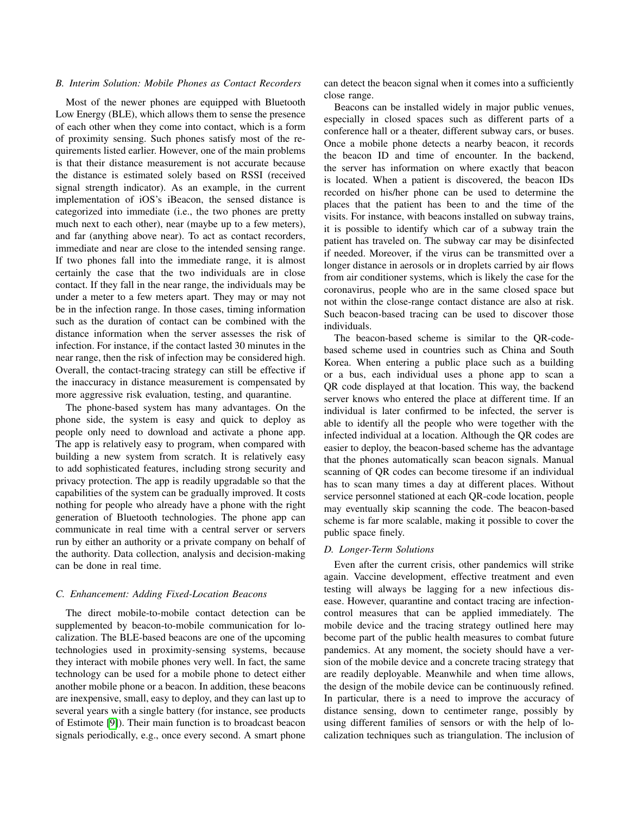### *B. Interim Solution: Mobile Phones as Contact Recorders*

Most of the newer phones are equipped with Bluetooth Low Energy (BLE), which allows them to sense the presence of each other when they come into contact, which is a form of proximity sensing. Such phones satisfy most of the requirements listed earlier. However, one of the main problems is that their distance measurement is not accurate because the distance is estimated solely based on RSSI (received signal strength indicator). As an example, in the current implementation of iOS's iBeacon, the sensed distance is categorized into immediate (i.e., the two phones are pretty much next to each other), near (maybe up to a few meters), and far (anything above near). To act as contact recorders, immediate and near are close to the intended sensing range. If two phones fall into the immediate range, it is almost certainly the case that the two individuals are in close contact. If they fall in the near range, the individuals may be under a meter to a few meters apart. They may or may not be in the infection range. In those cases, timing information such as the duration of contact can be combined with the distance information when the server assesses the risk of infection. For instance, if the contact lasted 30 minutes in the near range, then the risk of infection may be considered high. Overall, the contact-tracing strategy can still be effective if the inaccuracy in distance measurement is compensated by more aggressive risk evaluation, testing, and quarantine.

The phone-based system has many advantages. On the phone side, the system is easy and quick to deploy as people only need to download and activate a phone app. The app is relatively easy to program, when compared with building a new system from scratch. It is relatively easy to add sophisticated features, including strong security and privacy protection. The app is readily upgradable so that the capabilities of the system can be gradually improved. It costs nothing for people who already have a phone with the right generation of Bluetooth technologies. The phone app can communicate in real time with a central server or servers run by either an authority or a private company on behalf of the authority. Data collection, analysis and decision-making can be done in real time.

### <span id="page-9-0"></span>*C. Enhancement: Adding Fixed-Location Beacons*

The direct mobile-to-mobile contact detection can be supplemented by beacon-to-mobile communication for localization. The BLE-based beacons are one of the upcoming technologies used in proximity-sensing systems, because they interact with mobile phones very well. In fact, the same technology can be used for a mobile phone to detect either another mobile phone or a beacon. In addition, these beacons are inexpensive, small, easy to deploy, and they can last up to several years with a single battery (for instance, see products of Estimote [\[9\]](#page-11-8)). Their main function is to broadcast beacon signals periodically, e.g., once every second. A smart phone can detect the beacon signal when it comes into a sufficiently close range.

Beacons can be installed widely in major public venues, especially in closed spaces such as different parts of a conference hall or a theater, different subway cars, or buses. Once a mobile phone detects a nearby beacon, it records the beacon ID and time of encounter. In the backend, the server has information on where exactly that beacon is located. When a patient is discovered, the beacon IDs recorded on his/her phone can be used to determine the places that the patient has been to and the time of the visits. For instance, with beacons installed on subway trains, it is possible to identify which car of a subway train the patient has traveled on. The subway car may be disinfected if needed. Moreover, if the virus can be transmitted over a longer distance in aerosols or in droplets carried by air flows from air conditioner systems, which is likely the case for the coronavirus, people who are in the same closed space but not within the close-range contact distance are also at risk. Such beacon-based tracing can be used to discover those individuals.

The beacon-based scheme is similar to the QR-codebased scheme used in countries such as China and South Korea. When entering a public place such as a building or a bus, each individual uses a phone app to scan a QR code displayed at that location. This way, the backend server knows who entered the place at different time. If an individual is later confirmed to be infected, the server is able to identify all the people who were together with the infected individual at a location. Although the QR codes are easier to deploy, the beacon-based scheme has the advantage that the phones automatically scan beacon signals. Manual scanning of QR codes can become tiresome if an individual has to scan many times a day at different places. Without service personnel stationed at each QR-code location, people may eventually skip scanning the code. The beacon-based scheme is far more scalable, making it possible to cover the public space finely.

# *D. Longer-Term Solutions*

Even after the current crisis, other pandemics will strike again. Vaccine development, effective treatment and even testing will always be lagging for a new infectious disease. However, quarantine and contact tracing are infectioncontrol measures that can be applied immediately. The mobile device and the tracing strategy outlined here may become part of the public health measures to combat future pandemics. At any moment, the society should have a version of the mobile device and a concrete tracing strategy that are readily deployable. Meanwhile and when time allows, the design of the mobile device can be continuously refined. In particular, there is a need to improve the accuracy of distance sensing, down to centimeter range, possibly by using different families of sensors or with the help of localization techniques such as triangulation. The inclusion of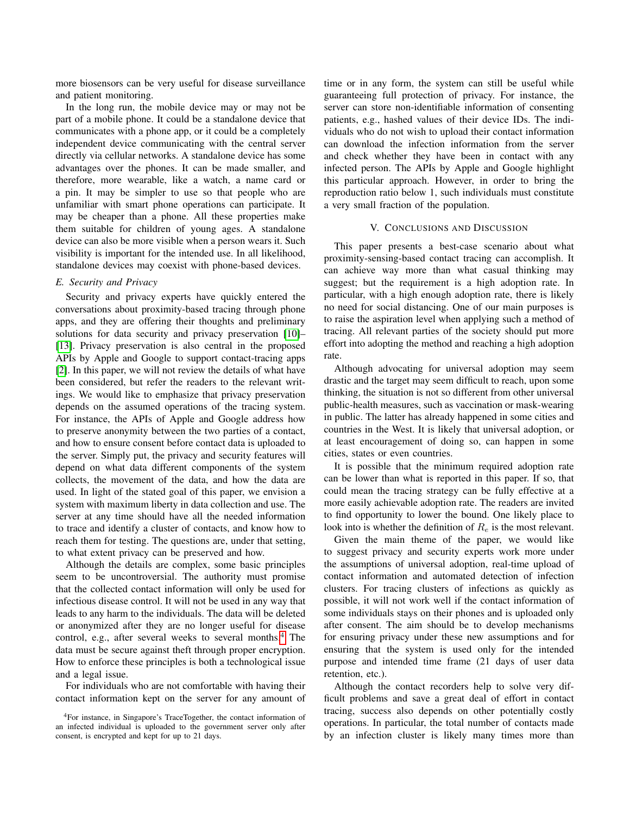more biosensors can be very useful for disease surveillance and patient monitoring.

In the long run, the mobile device may or may not be part of a mobile phone. It could be a standalone device that communicates with a phone app, or it could be a completely independent device communicating with the central server directly via cellular networks. A standalone device has some advantages over the phones. It can be made smaller, and therefore, more wearable, like a watch, a name card or a pin. It may be simpler to use so that people who are unfamiliar with smart phone operations can participate. It may be cheaper than a phone. All these properties make them suitable for children of young ages. A standalone device can also be more visible when a person wears it. Such visibility is important for the intended use. In all likelihood, standalone devices may coexist with phone-based devices.

# *E. Security and Privacy*

Security and privacy experts have quickly entered the conversations about proximity-based tracing through phone apps, and they are offering their thoughts and preliminary solutions for data security and privacy preservation [\[10\]](#page-11-9)– [\[13\]](#page-11-10). Privacy preservation is also central in the proposed APIs by Apple and Google to support contact-tracing apps [\[2\]](#page-11-2). In this paper, we will not review the details of what have been considered, but refer the readers to the relevant writings. We would like to emphasize that privacy preservation depends on the assumed operations of the tracing system. For instance, the APIs of Apple and Google address how to preserve anonymity between the two parties of a contact, and how to ensure consent before contact data is uploaded to the server. Simply put, the privacy and security features will depend on what data different components of the system collects, the movement of the data, and how the data are used. In light of the stated goal of this paper, we envision a system with maximum liberty in data collection and use. The server at any time should have all the needed information to trace and identify a cluster of contacts, and know how to reach them for testing. The questions are, under that setting, to what extent privacy can be preserved and how.

Although the details are complex, some basic principles seem to be uncontroversial. The authority must promise that the collected contact information will only be used for infectious disease control. It will not be used in any way that leads to any harm to the individuals. The data will be deleted or anonymized after they are no longer useful for disease control, e.g., after several weeks to several months.<sup>[4](#page-10-1)</sup> The data must be secure against theft through proper encryption. How to enforce these principles is both a technological issue and a legal issue.

For individuals who are not comfortable with having their contact information kept on the server for any amount of time or in any form, the system can still be useful while guaranteeing full protection of privacy. For instance, the server can store non-identifiable information of consenting patients, e.g., hashed values of their device IDs. The individuals who do not wish to upload their contact information can download the infection information from the server and check whether they have been in contact with any infected person. The APIs by Apple and Google highlight this particular approach. However, in order to bring the reproduction ratio below 1, such individuals must constitute a very small fraction of the population.

### V. CONCLUSIONS AND DISCUSSION

<span id="page-10-0"></span>This paper presents a best-case scenario about what proximity-sensing-based contact tracing can accomplish. It can achieve way more than what casual thinking may suggest; but the requirement is a high adoption rate. In particular, with a high enough adoption rate, there is likely no need for social distancing. One of our main purposes is to raise the aspiration level when applying such a method of tracing. All relevant parties of the society should put more effort into adopting the method and reaching a high adoption rate.

Although advocating for universal adoption may seem drastic and the target may seem difficult to reach, upon some thinking, the situation is not so different from other universal public-health measures, such as vaccination or mask-wearing in public. The latter has already happened in some cities and countries in the West. It is likely that universal adoption, or at least encouragement of doing so, can happen in some cities, states or even countries.

It is possible that the minimum required adoption rate can be lower than what is reported in this paper. If so, that could mean the tracing strategy can be fully effective at a more easily achievable adoption rate. The readers are invited to find opportunity to lower the bound. One likely place to look into is whether the definition of  $R_e$  is the most relevant.

Given the main theme of the paper, we would like to suggest privacy and security experts work more under the assumptions of universal adoption, real-time upload of contact information and automated detection of infection clusters. For tracing clusters of infections as quickly as possible, it will not work well if the contact information of some individuals stays on their phones and is uploaded only after consent. The aim should be to develop mechanisms for ensuring privacy under these new assumptions and for ensuring that the system is used only for the intended purpose and intended time frame (21 days of user data retention, etc.).

Although the contact recorders help to solve very difficult problems and save a great deal of effort in contact tracing, success also depends on other potentially costly operations. In particular, the total number of contacts made by an infection cluster is likely many times more than

<span id="page-10-1"></span><sup>4</sup>For instance, in Singapore's TraceTogether, the contact information of an infected individual is uploaded to the government server only after consent, is encrypted and kept for up to 21 days.